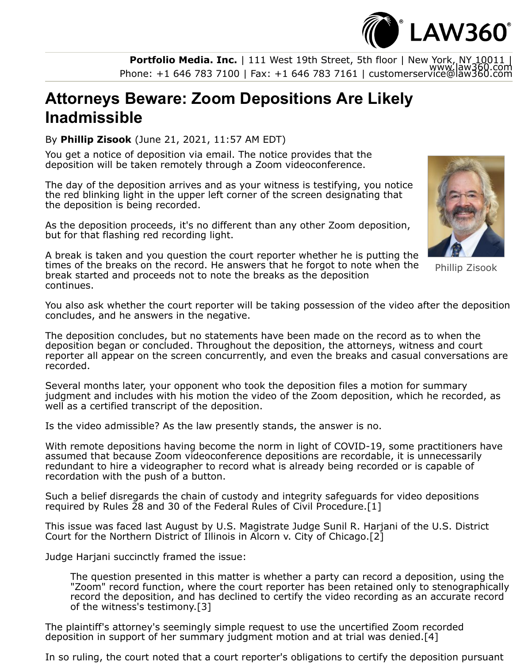**Portfolio Media. Inc.** | 111 West 19th Street, 5th floor | New York, NY 10011 |<br>www.law360.com<br>com | eas: +1 646 783 7161 | customerservice@law360.com |

## **Attorneys Beware: Zoom Depositions Are Likely Inadmissible**

By **Phillip Zisook** (June 21, 2021, 11:57 AM EDT)

You get a notice of deposition via email. The notice provides that the deposition will be taken remotely through a Zoom videoconference.

The day of the deposition arrives and as your witness is testifying, you notice the red blinking light in the upper left corner of the screen designating that the deposition is being recorded.

As the deposition proceeds, it's no different than any other Zoom deposition, but for that flashing red recording light.



 $\degree$  LAW360 $\degree$ 

Phillip Zisook

A break is taken and you question the court reporter whether he is putting the times of the breaks on the record. He answers that he forgot to note when the break started and proceeds not to note the breaks as the deposition continues.

You also ask whether the court reporter will be taking possession of the video after the deposition concludes, and he answers in the negative.

The deposition concludes, but no statements have been made on the record as to when the deposition began or concluded. Throughout the deposition, the attorneys, witness and court reporter all appear on the screen concurrently, and even the breaks and casual conversations are recorded.

Several months later, your opponent who took the deposition files a motion for summary judgment and includes with his motion the video of the Zoom deposition, which he recorded, as well as a certified transcript of the deposition.

Is the video admissible? As the law presently stands, the answer is no.

With remote depositions having become the norm in light of COVID-19, some practitioners have assumed that because Zoom videoconference depositions are recordable, it is unnecessarily redundant to hire a videographer to record what is already being recorded or is capable of recordation with the push of a button.

Such a belief disregards the chain of custody and integrity safeguards for video depositions required by Rules 28 and 30 of the Federal Rules of Civil Procedure.[1]

[This issue was faced last August by U.S. Magistrate Judge Sunil R. Harjani of the U.S. District](https://www.law360.com/agencies/u-s-district-court-for-the-northern-district-of-illinois) Court for the Northern District of Illinois in Alcorn v. City of Chicago.[2]

Judge Harjani succinctly framed the issue:

The question presented in this matter is whether a party can record a deposition, using the "Zoom" record function, where the court reporter has been retained only to stenographically record the deposition, and has declined to certify the video recording as an accurate record of the witness's testimony.[3]

The plaintiff's attorney's seemingly simple request to use the uncertified Zoom recorded deposition in support of her summary judgment motion and at trial was denied.[4]

In so ruling, the court noted that a court reporter's obligations to certify the deposition pursuant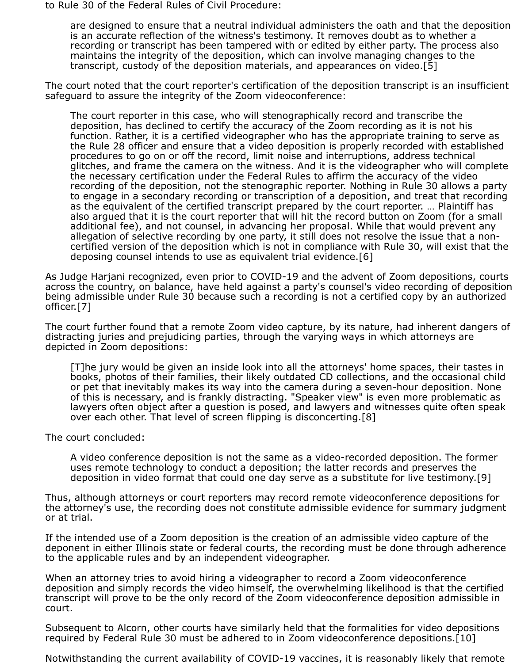to Rule 30 of the Federal Rules of Civil Procedure:

are designed to ensure that a neutral individual administers the oath and that the deposition is an accurate reflection of the witness's testimony. It removes doubt as to whether a recording or transcript has been tampered with or edited by either party. The process also maintains the integrity of the deposition, which can involve managing changes to the transcript, custody of the deposition materials, and appearances on video.[5]

The court noted that the court reporter's certification of the deposition transcript is an insufficient safeguard to assure the integrity of the Zoom videoconference:

The court reporter in this case, who will stenographically record and transcribe the deposition, has declined to certify the accuracy of the Zoom recording as it is not his function. Rather, it is a certified videographer who has the appropriate training to serve as the Rule 28 officer and ensure that a video deposition is properly recorded with established procedures to go on or off the record, limit noise and interruptions, address technical glitches, and frame the camera on the witness. And it is the videographer who will complete the necessary certification under the Federal Rules to affirm the accuracy of the video recording of the deposition, not the stenographic reporter. Nothing in Rule 30 allows a party to engage in a secondary recording or transcription of a deposition, and treat that recording as the equivalent of the certified transcript prepared by the court reporter. … Plaintiff has also argued that it is the court reporter that will hit the record button on Zoom (for a small additional fee), and not counsel, in advancing her proposal. While that would prevent any allegation of selective recording by one party, it still does not resolve the issue that a noncertified version of the deposition which is not in compliance with Rule 30, will exist that the deposing counsel intends to use as equivalent trial evidence.[6]

As Judge Harjani recognized, even prior to COVID-19 and the advent of Zoom depositions, courts across the country, on balance, have held against a party's counsel's video recording of deposition being admissible under Rule 30 because such a recording is not a certified copy by an authorized officer.[7]

The court further found that a remote Zoom video capture, by its nature, had inherent dangers of distracting juries and prejudicing parties, through the varying ways in which attorneys are depicted in Zoom depositions:

[T]he jury would be given an inside look into all the attorneys' home spaces, their tastes in books, photos of their families, their likely outdated CD collections, and the occasional child or pet that inevitably makes its way into the camera during a seven-hour deposition. None of this is necessary, and is frankly distracting. "Speaker view" is even more problematic as lawyers often object after a question is posed, and lawyers and witnesses quite often speak over each other. That level of screen flipping is disconcerting.[8]

The court concluded:

A video conference deposition is not the same as a video-recorded deposition. The former uses remote technology to conduct a deposition; the latter records and preserves the deposition in video format that could one day serve as a substitute for live testimony.[9]

Thus, although attorneys or court reporters may record remote videoconference depositions for the attorney's use, the recording does not constitute admissible evidence for summary judgment or at trial.

If the intended use of a Zoom deposition is the creation of an admissible video capture of the deponent in either Illinois state or federal courts, the recording must be done through adherence to the applicable rules and by an independent videographer.

When an attorney tries to avoid hiring a videographer to record a Zoom videoconference deposition and simply records the video himself, the overwhelming likelihood is that the certified transcript will prove to be the only record of the Zoom videoconference deposition admissible in court.

Subsequent to Alcorn, other courts have similarly held that the formalities for video depositions required by Federal Rule 30 must be adhered to in Zoom videoconference depositions.[10]

Notwithstanding the current availability of COVID-19 vaccines, it is reasonably likely that remote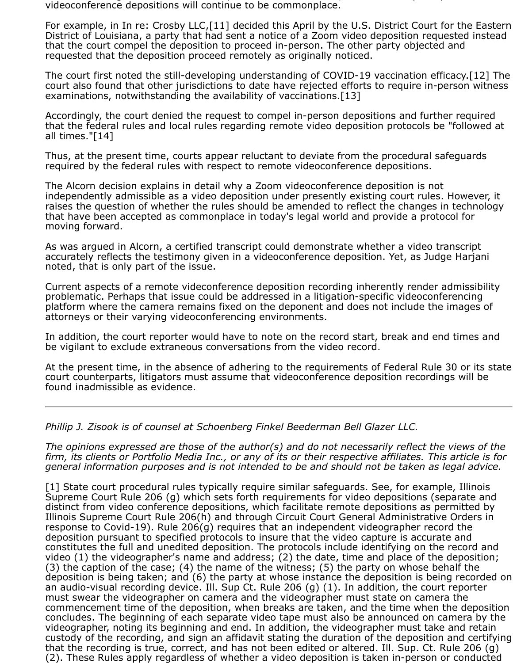g y , y y videoconference depositions will continue to be commonplace.

[For example, in In re: Crosby LLC,\[11\] decided this April by the U.S. District Court for the Eastern](https://www.law360.com/agencies/u-s-district-court-for-the-eastern-district-of-louisiana) District of Louisiana, a party that had sent a notice of a Zoom video deposition requested instead that the court compel the deposition to proceed in-person. The other party objected and requested that the deposition proceed remotely as originally noticed.

The court first noted the still-developing understanding of COVID-19 vaccination efficacy.[12] The court also found that other jurisdictions to date have rejected efforts to require in-person witness examinations, notwithstanding the availability of vaccinations.[13]

Accordingly, the court denied the request to compel in-person depositions and further required that the federal rules and local rules regarding remote video deposition protocols be "followed at all times."[14]

Thus, at the present time, courts appear reluctant to deviate from the procedural safeguards required by the federal rules with respect to remote videoconference depositions.

The Alcorn decision explains in detail why a Zoom videoconference deposition is not independently admissible as a video deposition under presently existing court rules. However, it raises the question of whether the rules should be amended to reflect the changes in technology that have been accepted as commonplace in today's legal world and provide a protocol for moving forward.

As was argued in Alcorn, a certified transcript could demonstrate whether a video transcript accurately reflects the testimony given in a videoconference deposition. Yet, as Judge Harjani noted, that is only part of the issue.

Current aspects of a remote videconference deposition recording inherently render admissibility problematic. Perhaps that issue could be addressed in a litigation-specific videoconferencing platform where the camera remains fixed on the deponent and does not include the images of attorneys or their varying videoconferencing environments.

In addition, the court reporter would have to note on the record start, break and end times and be vigilant to exclude extraneous conversations from the video record.

At the present time, in the absence of adhering to the requirements of Federal Rule 30 or its state court counterparts, litigators must assume that videoconference deposition recordings will be found inadmissible as evidence.

*[Phillip J. Zisook](https://www.sfbbg.com/people/phillip-j-zisook/) is of counsel at [Schoenberg Finkel Beederman Bell Glazer LLC.](https://www.law360.com/firms/schoenberg-finkel)*

*The opinions expressed are those of the author(s) and do not necessarily reflect the views of the firm, its clients or Portfolio Media Inc., or any of its or their respective affiliates. This article is for general information purposes and is not intended to be and should not be taken as legal advice.*

[\[1\] State court procedural rules typically require similar safeguards. See, for example, Illinois](https://www.law360.com/agencies/illinois-supreme-court) Supreme Court Rule 206 (g) which sets forth requirements for video depositions (separate and distinct from video conference depositions, which facilitate remote depositions as permitted by Illinois Supreme Court Rule 206(h) and through Circuit Court General Administrative Orders in response to Covid-19). Rule 206(g) requires that an independent videographer record the deposition pursuant to specified protocols to insure that the video capture is accurate and constitutes the full and unedited deposition. The protocols include identifying on the record and video (1) the videographer's name and address; (2) the date, time and place of the deposition; (3) the caption of the case; (4) the name of the witness; (5) the party on whose behalf the deposition is being taken; and (6) the party at whose instance the deposition is being recorded on an audio-visual recording device. Ill. Sup Ct. Rule 206 (g) (1). In addition, the court reporter must swear the videographer on camera and the videographer must state on camera the commencement time of the deposition, when breaks are taken, and the time when the deposition concludes. The beginning of each separate video tape must also be announced on camera by the videographer, noting its beginning and end. In addition, the videographer must take and retain custody of the recording, and sign an affidavit stating the duration of the deposition and certifying that the recording is true, correct, and has not been edited or altered. Ill. Sup. Ct. Rule 206 (g) (2). These Rules apply regardless of whether a video deposition is taken in-person or conducted